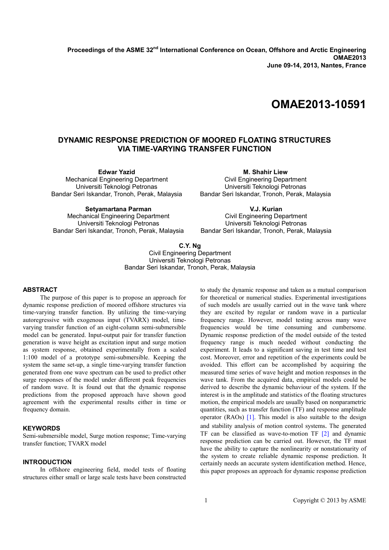**Proceedings of the ASME 32nd International Conference on Ocean, Offshore and Arctic Engineering OMAE2013 June 09-14, 2013, Nantes, France** 

# **OMAE2013-10591**

## **DYNAMIC RESPONSE PREDICTION OF MOORED FLOATING STRUCTURES VIA TIME-VARYING TRANSFER FUNCTION**

**Edwar Yazid**  Mechanical Engineering Department Universiti Teknologi Petronas Bandar Seri Iskandar, Tronoh, Perak, Malaysia

**M. Shahir Liew**  Civil Engineering Department Universiti Teknologi Petronas Bandar Seri Iskandar, Tronoh, Perak, Malaysia

**Setyamartana Parman**  Mechanical Engineering Department Universiti Teknologi Petronas Bandar Seri Iskandar, Tronoh, Perak, Malaysia

**V.J. Kurian**  Civil Engineering Department Universiti Teknologi Petronas Bandar Seri Iskandar, Tronoh, Perak, Malaysia

## **C.Y. Ng**

Civil Engineering Department Universiti Teknologi Petronas Bandar Seri Iskandar, Tronoh, Perak, Malaysia

## **ABSTRACT**

 The purpose of this paper is to propose an approach for dynamic response prediction of moored offshore structures via time-varying transfer function. By utilizing the time-varying autoregressive with exogenous input (TVARX) model, timevarying transfer function of an eight-column semi-submersible model can be generated. Input-output pair for transfer function generation is wave height as excitation input and surge motion as system response, obtained experimentally from a scaled 1:100 model of a prototype semi-submersible. Keeping the system the same set-up, a single time-varying transfer function generated from one wave spectrum can be used to predict other surge responses of the model under different peak frequencies of random wave. It is found out that the dynamic response predictions from the proposed approach have shown good agreement with the experimental results either in time or frequency domain.

## **KEYWORDS**

Semi-submersible model, Surge motion response; Time-varying transfer function; TVARX model

## **INTRODUCTION**

 In offshore engineering field, model tests of floating structures either small or large scale tests have been constructed

to study the dynamic response and taken as a mutual comparison for theoretical or numerical studies. Experimental investigations of such models are usually carried out in the wave tank where they are excited by regular or random wave in a particular frequency range. However, model testing across many wave frequencies would be time consuming and cumbersome. Dynamic response prediction of the model outside of the tested frequency range is much needed without conducting the experiment. It leads to a significant saving in test time and test cost. Moreover, error and repetition of the experiments could be avoided. This effort can be accomplished by acquiring the measured time series of wave height and motion responses in the wave tank. From the acquired data, empirical models could be derived to describe the dynamic behaviour of the system. If the interest is in the amplitude and statistics of the floating structures motion, the empirical models are usually based on nonparametric quantities, such as transfer function (TF) and response amplitude operator (RAOs) [1]. This model is also suitable to the design and stability analysis of motion control systems. The generated TF can be classified as wave-to-motion TF [2] and dynamic response prediction can be carried out. However, the TF must have the ability to capture the nonlinearity or nonstationarity of the system to create reliable dynamic response prediction. It certainly needs an accurate system identification method. Hence, this paper proposes an approach for dynamic response prediction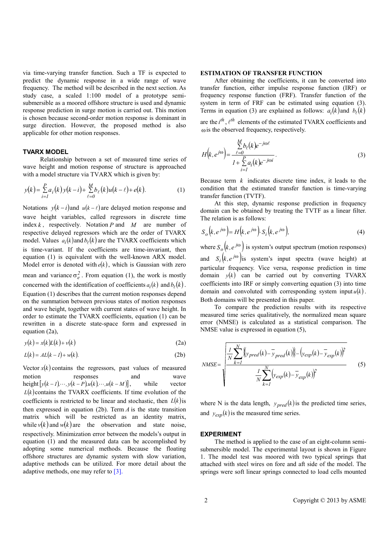via time-varying transfer function. Such a TF is expected to predict the dynamic response in a wide range of wave frequency. The method will be described in the next section. As study case, a scaled 1:100 model of a prototype semisubmersible as a moored offshore structure is used and dynamic response prediction in surge motion is carried out. This motion is chosen because second-order motion response is dominant in surge direction. However, the proposed method is also applicable for other motion responses.

#### **TVARX MODEL**

 Relationship between a set of measured time series of wave height and motion response of structure is approached with a model structure via TVARX which is given by:

$$
y(k) = \sum_{i=1}^{P} a_i(k) y(k-i) + \sum_{\ell=0}^{M} b_{\ell}(k) u(k-\ell) + e(k).
$$
 (1)

Notations  $y(k-i)$  and  $u(k-\ell)$  are delayed motion response and wave height variables, called regressors in discrete time index  $k$ , respectively. Notation  $P$  and  $M$  are number of respective delayed regressors which are the order of TVARX model. Values  $a_i(k)$  and  $b_\ell(k)$  are the TVARX coefficients which is time-variant. If the coefficients are time-invariant, then equation (1) is equivalent with the well-known ARX model. Model error is denoted with  $e(k)$ , which is Gaussian with zero mean and variance  $\sigma_e^2$ . From equation (1), the work is mostly concerned with the identification of coefficients  $a_i(k)$  and  $b_\ell(k)$ . Equation (1) describes that the current motion responses depend on the summation between previous states of motion responses and wave height, together with current states of wave height. In order to estimate the TVARX coefficients, equation (1) can be rewritten in a discrete state-space form and expressed in equation (2a),

$$
y(k) = x(k)L(k) + v(k)
$$
 (2a)

$$
L(k) = AL(k - 1) + w(k). \tag{2b}
$$

Vector  $x(k)$  contains the regressors, past values of measured motion responses and wave height $[y(k-1),...,y(k-P),u(k),...,u(k-M)]$ , while vector  $L(k)$  contains the TVARX coefficients. If time evolution of the coefficients is restricted to be linear and stochastic, then  $L(k)$  is then expressed in equation  $(2b)$ . Term *A* is the state transition matrix which will be restricted as an identity matrix, while  $v(k)$  and  $w(k)$  are the observation and state noise, respectively. Minimization error between the models's output in equation (1) and the measured data can be accomplished by adopting some numerical methods. Because the floating offshore structures are dynamic system with slow variation, adaptive methods can be utilized. For more detail about the adaptive methods, one may refer to [3].

#### **ESTIMATION OF TRANSFER FUNCTION**

 After obtaining the coefficients, it can be converted into transfer function, either impulse response function (IRF) or frequency response function (FRF). Transfer function of the system in term of FRF can be estimated using equation (3). Terms in equation (3) are explained as follows:  $a_i(k)$  and  $b_\ell(k)$ 

are the  $i^{th}$ ,  $\ell^{th}$  elements of the estimated TVARX coefficients and ωis the observed frequency, respectively.

$$
H(k, e^{j\omega}) = \frac{\sum\limits_{\ell=0}^{M} b_{\ell}(k)e^{-j\omega\ell}}{1 + \sum\limits_{i=1}^{P} a_{i}(k)e^{-j\omega i}}.
$$
\n(3)

Because term *k* indicates discrete time index, it leads to the condition that the estimated transfer function is time-varying transfer function (TVTF).

At this step, dynamic response prediction in frequency domain can be obtained by treating the TVTF as a linear filter. The relation is as follows:

$$
S_o(k, e^{j\omega}) = H(k, e^{j\omega}). S_i(k, e^{j\omega}),
$$
\n(4)

where  $S_o(k, e^{j\omega})$  is system's output spectrum (motion responses) and  $S_i(k, e^{j\omega})$  is system's input spectra (wave height) at particular frequency. Vice versa, response prediction in time domain  $y(k)$  can be carried out by converting TVARX coefficients into IRF or simply converting equation (3) into time domain and convoluted with corresponding system input  $u(k)$ . Both domains will be presented in this paper.

To compare the prediction results with its respective measured time series qualitatively, the normalized mean square error (NMSE) is calculated as a statistical comparison. The NMSE value is expressed in equation (5),

$$
NMSE = \sqrt{\frac{\frac{1}{N} \sum_{k=1}^{N} \left\{ y_{pred}(k) - \overline{y}_{pred}(k) \right\} - \left( y_{exp}(k) - \overline{y}_{exp}(k) \right)^{2}}{\frac{1}{N} \sum_{k=1}^{N} \left( y_{exp}(k) - \overline{y}_{exp}(k) \right)^{2}}}
$$
(5)

where N is the data length,  $y_{pred}(k)$  is the predicted time series, and  $y_{exp}(k)$  is the measured time series.

#### **EXPERIMENT**

 The method is applied to the case of an eight-column semisubmersible model. The experimental layout is shown in Figure 1. The model test was moored with two typical springs that attached with steel wires on fore and aft side of the model. The springs were soft linear springs connected to load cells mounted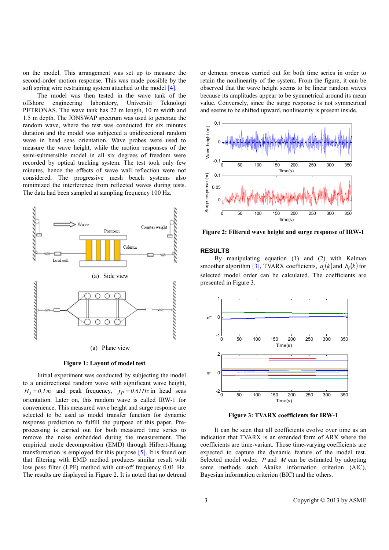on the model. This arrangement was set up to measure the second-order motion response. This was made possible by the soft spring wire restraining system attached to the model [4].

 The model was then tested in the wave tank of the offshore engineering laboratory, Universiti Teknologi PETRONAS. The wave tank has 22 m length, 10 m width and 1.5 m depth. The JONSWAP spectrum was used to generate the random wave, where the test was conducted for six minutes duration and the model was subjected a unidirectional random wave in head seas orientation. Wave probes were used to measure the wave height, while the motion responses of the semi-submersible model in all six degrees of freedom were recorded by optical tracking system. The test took only few minutes, hence the effects of wave wall reflection were not considered. The progressive mesh beach systems also minimized the interference from reflected waves during tests. The data had been sampled at sampling frequency 100 Hz.



**Figure 1: Layout of model test** 

 Initial experiment was conducted by subjecting the model to a unidirectional random wave with significant wave height,  $H_s = 0.1m$  and peak frequency,  $f_p = 0.61Hz$  in head seas orientation. Later on, this random wave is called IRW-1 for convenience. This measured wave height and surge response are selected to be used as model transfer function for dynamic response prediction to fulfill the purpose of this paper. Preprocessing is carried out for both measured time series to remove the noise embedded during the measurement. The empirical mode decomposition (EMD) through Hilbert-Huang transformation is employed for this purpose [5]. It is found out that filtering with EMD method produces similar result with low pass filter (LPF) method with cut-off frequency 0.01 Hz. The results are displayed in Figure 2. It is noted that no detrend

or demean process carried out for both time series in order to retain the nonlinearity of the system. From the figure, it can be observed that the wave height seems to be linear random waves because its amplitudes appear to be symmetrical around its mean value. Conversely, since the surge response is not symmetrical and seems to be shifted upward, nonlinearity is present inside.



**Figure 2: Filtered wave height and surge response of IRW-1** 

#### **RESULTS**

By manipulating equation (1) and (2) with Kalman smoother algorithm [3], TVARX coefficients,  $a_i(k)$  and  $b_\ell(k)$  for selected model order can be calculated. The coefficients are presented in Figure 3.



**Figure 3: TVARX coefficients for IRW-1** 

It can be seen that all coefficients evolve over time as an indication that TVARX is an extended form of ARX where the coefficients are time-variant. Those time-varying coefficients are expected to capture the dynamic feature of the model test. Selected model order, *P* and *M* can be estimated by adopting some methods such Akaike information criterion (AIC), Bayesian information criterion (BIC) and the others.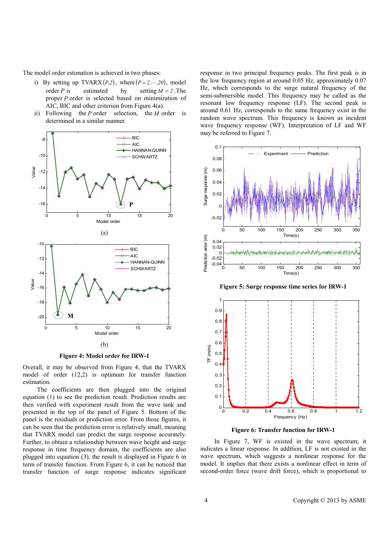The model order estimation is achieved in two phases:

- i) By setting up TVARX  $(P,2)$ , where  $(P = 2, \dots, 20)$ , model order *P* is estimated by setting  $M = 2$ . The proper *P* order is selected based on minimization of AIC, BIC and other criterion from Figure 4(a).
- ii) Following the *P* order selection, the *M* order is determined in a similar manner.



**Figure 4: Model order for IRW-1**

Overall, it may be observed from Figure 4, that the TVARX model of order (12,2) is optimum for transfer function estimation.

The coefficients are then plugged into the original equation (1) to see the prediction result. Prediction results are then verified with experiment result from the wave tank and presented in the top of the panel of Figure 5. Bottom of the panel is the residuals or prediction error. From those figures, it can be seen that the prediction error is relatively small, meaning that TVARX model can predict the surge response accurately. Further, to obtain a relationship between wave height and surge response in time frequency domain, the coefficients are also plugged into equation (3), the result is displayed in Figure 6 in term of transfer function. From Figure 6, it can be noticed that transfer function of surge response indicates significant

response in two principal frequency peaks. The first peak is in the low frequency region at around 0.05 Hz, approximately 0.07 Hz, which corresponds to the surge natural frequency of the semi-submersible model. This frequency may be called as the resonant low frequency response (LF). The second peak is around 0.61 Hz, corresponds to the same frequency exist in the random wave spectrum. This frequency is known as incident wave frequency response (WF). Interpretation of LF and WF may be referred to Figure 7.



**Figure 5: Surge response time series for IRW-1** 





In Figure 7, WF is existed in the wave spectrum; it indicates a linear response. In addition, LF is not existed in the wave spectrum, which suggests a nonlinear response for the model. It implies that there exists a nonlinear effect in term of second-order force (wave drift force), which is proportional to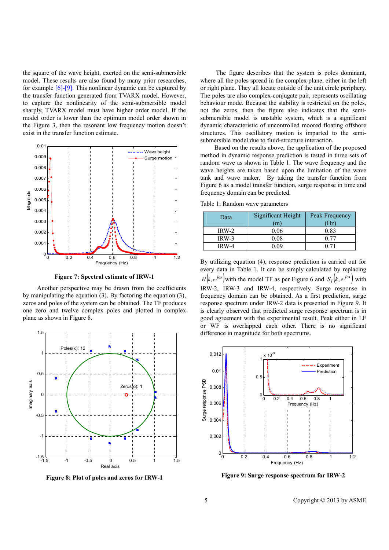the square of the wave height, exerted on the semi-submersible model. These results are also found by many prior researches, for example [6]-[9]. This nonlinear dynamic can be captured by the transfer function generated from TVARX model. However, to capture the nonlinearity of the semi-submersible model sharply, TVARX model must have higher order model. If the model order is lower than the optimum model order shown in the Figure 3, then the resonant low frequency motion doesn't exist in the transfer function estimate.



**Figure 7: Spectral estimate of IRW-1** 

Another perspective may be drawn from the coefficients by manipulating the equation (3). By factoring the equation (3), zeros and poles of the system can be obtained. The TF produces one zero and twelve complex poles and plotted in complex plane as shown in Figure 8.



**Figure 8: Plot of poles and zeros for IRW-1**

 The figure describes that the system is poles dominant, where all the poles spread in the complex plane, either in the left or right plane. They all locate outside of the unit circle periphery. The poles are also complex-conjugate pair, represents oscillating behaviour mode. Because the stability is restricted on the poles, not the zeros, then the figure also indicates that the semisubmersible model is unstable system, which is a significant dynamic characteristic of uncontrolled moored floating offshore structures. This oscillatory motion is imparted to the semisubmersible model due to fluid-structure interaction.

Based on the results above, the application of the proposed method in dynamic response prediction is tested in three sets of random wave as shown in Table 1. The wave frequency and the wave heights are taken based upon the limitation of the wave tank and wave maker. By taking the transfer function from Figure 6 as a model transfer function, surge response in time and frequency domain can be predicted.

Table 1: Random wave parameters

| Data    | Significant Height<br>(m) | Peak Frequency<br>(Hz) |
|---------|---------------------------|------------------------|
| IRW-2   | 0.06                      | 0.83                   |
| $IRW-3$ | 0.08                      | በ 77                   |
| IRW-4   | N V 0                     |                        |

By utilizing equation (4), response prediction is carried out for every data in Table 1. It can be simply calculated by replacing  $H(k, e^{j\omega})$  with the model TF as per Figure 6 and  $S_i(k, e^{j\omega})$  with IRW-2, IRW-3 and IRW-4, respectively. Surge response in frequency domain can be obtained. As a first prediction, surge response spectrum under IRW-2 data is presented in Figure 9. It is clearly observed that predicted surge response spectrum is in good agreement with the experimental result. Peak either in LF or WF is overlapped each other. There is no significant difference in magnitude for both spectrums.



**Figure 9: Surge response spectrum for IRW-2** 

5 Copyright © 2013 by ASME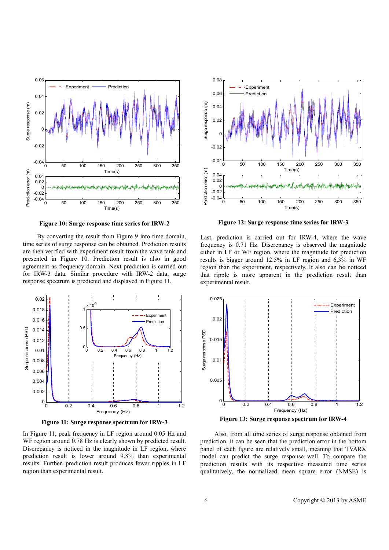

**Figure 10: Surge response time series for IRW-2**

By converting the result from Figure 9 into time domain, time series of surge response can be obtained. Prediction results are then verified with experiment result from the wave tank and presented in Figure 10. Prediction result is also in good agreement as frequency domain. Next prediction is carried out for IRW-3 data. Similar procedure with IRW-2 data, surge response spectrum is predicted and displayed in Figure 11.



**Figure 11: Surge response spectrum for IRW-3** 

In Figure 11, peak frequency in LF region around 0.05 Hz and WF region around 0.78 Hz is clearly shown by predicted result. Discrepancy is noticed in the magnitude in LF region, where prediction result is lower around 9.8% than experimental results. Further, prediction result produces fewer ripples in LF region than experimental result.



**Figure 12: Surge response time series for IRW-3** 

Last, prediction is carried out for IRW-4, where the wave frequency is 0.71 Hz. Discrepancy is observed the magnitude either in LF or WF region, where the magnitude for prediction results is bigger around 12.5% in LF region and 6,3% in WF region than the experiment, respectively. It also can be noticed that ripple is more apparent in the prediction result than experimental result.



**Figure 13: Surge response spectrum for IRW-4** 

Also, from all time series of surge response obtained from prediction, it can be seen that the prediction error in the bottom panel of each figure are relatively small, meaning that TVARX model can predict the surge response well. To compare the prediction results with its respective measured time series qualitatively, the normalized mean square error (NMSE) is